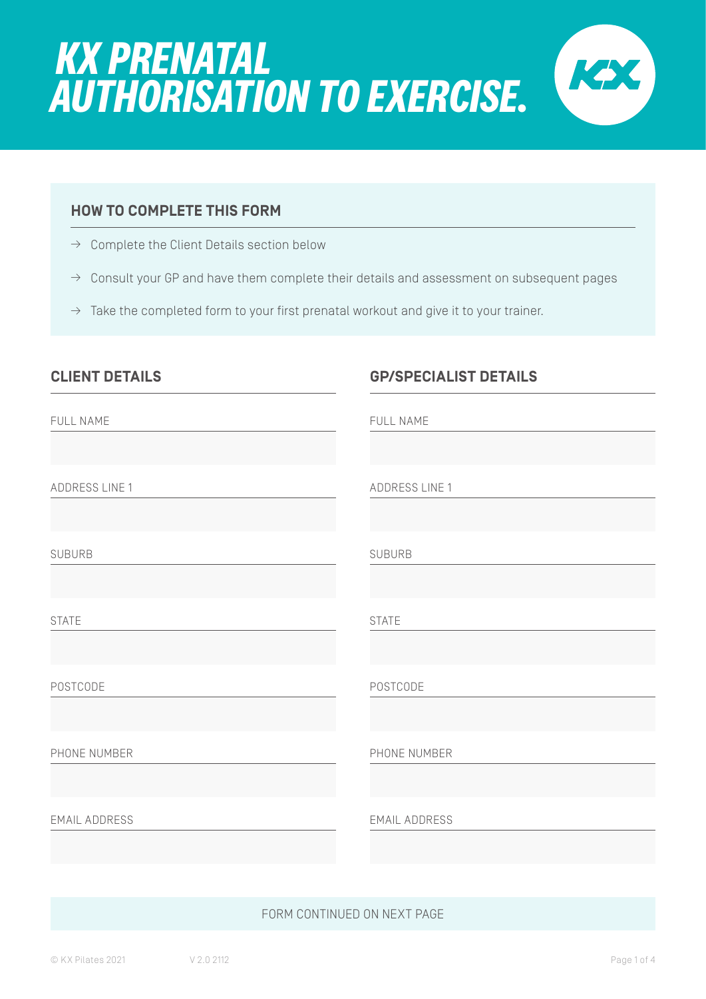

### **HOW TO COMPLETE THIS FORM**

- $\rightarrow$  Complete the Client Details section below
- $\rightarrow$  Consult your GP and have them complete their details and assessment on subsequent pages
- $\rightarrow$  Take the completed form to your first prenatal workout and give it to your trainer.

| <b>CLIENT DETAILS</b> | <b>GP/SPECIALIST DETAILS</b> |
|-----------------------|------------------------------|
| FULL NAME             | FULL NAME                    |
| ADDRESS LINE 1        | <b>ADDRESS LINE 1</b>        |
| <b>SUBURB</b>         | <b>SUBURB</b>                |
| <b>STATE</b>          | <b>STATE</b>                 |
| POSTCODE              | POSTCODE                     |
| PHONE NUMBER          | PHONE NUMBER                 |
| <b>EMAIL ADDRESS</b>  | <b>EMAIL ADDRESS</b>         |

#### FORM CONTINUED ON NEXT PAGE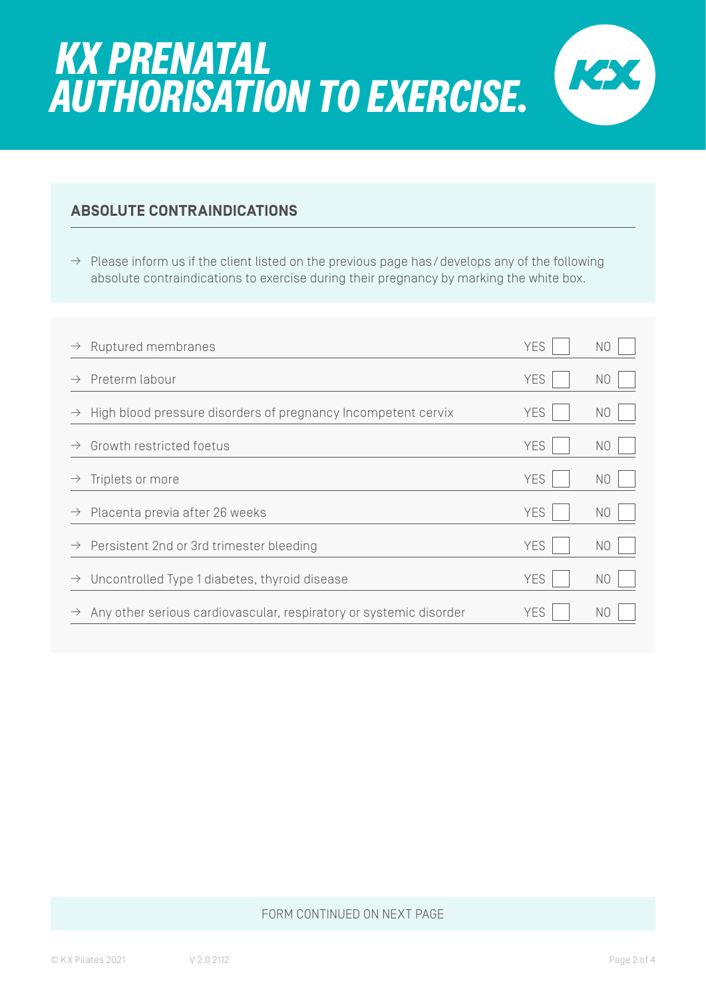

 $\rightarrow$  Please inform us if the client listed on the previous page has/develops any of the following absolute contraindications to exercise during their pregnancy by marking the white box.

| $\rightarrow$ | Ruptured membranes                                                 | <b>YES</b> | N <sub>O</sub> |
|---------------|--------------------------------------------------------------------|------------|----------------|
| $\rightarrow$ | Preterm labour                                                     | <b>YES</b> | N <sub>O</sub> |
| $\rightarrow$ | High blood pressure disorders of pregnancy Incompetent cervix      | <b>YES</b> | N <sub>O</sub> |
| $\rightarrow$ | Growth restricted foetus                                           | <b>YES</b> | N <sub>O</sub> |
| $\rightarrow$ | Triplets or more                                                   | <b>YES</b> | N <sub>O</sub> |
| $\rightarrow$ | Placenta previa after 26 weeks                                     | <b>YES</b> | N <sub>0</sub> |
|               | $\rightarrow$ Persistent 2nd or 3rd trimester bleeding             | <b>YES</b> | N <sub>O</sub> |
| $\rightarrow$ | Uncontrolled Type 1 diabetes, thyroid disease                      | <b>YES</b> | N <sub>O</sub> |
| $\rightarrow$ | Any other serious cardiovascular, respiratory or systemic disorder | YES.       | N <sub>O</sub> |

#### FORM CONTINUED ON NEXT PAGE

KX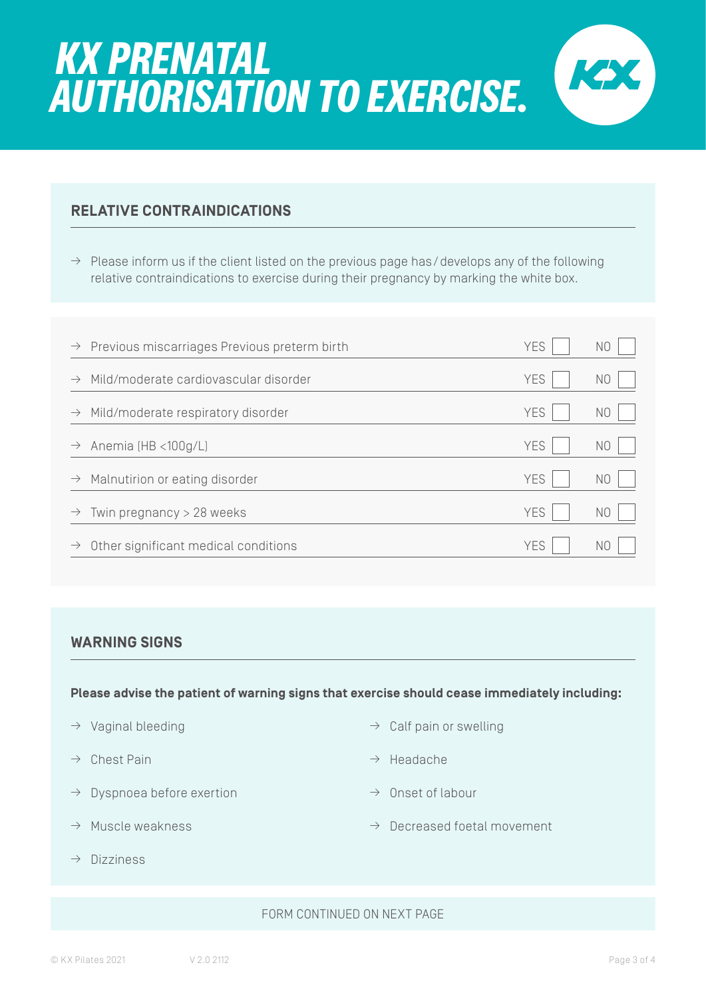### **RELATIVE CONTRAINDICATIONS**

 $\rightarrow$  Please inform us if the client listed on the previous page has/develops any of the following relative contraindications to exercise during their pregnancy by marking the white box.

|               | $\rightarrow$ Previous miscarriages Previous preterm birth | <b>YES</b> | N <sub>0</sub> |
|---------------|------------------------------------------------------------|------------|----------------|
| $\rightarrow$ | Mild/moderate cardiovascular disorder                      | <b>YES</b> | N <sub>0</sub> |
| $\rightarrow$ | Mild/moderate respiratory disorder                         | <b>YES</b> | N <sub>0</sub> |
| $\rightarrow$ | Anemia (HB <100g/L)                                        | <b>YES</b> | N0             |
| $\rightarrow$ | Malnutirion or eating disorder                             | <b>YES</b> | N <sub>O</sub> |
| $\rightarrow$ | Twin pregnancy $>$ 28 weeks                                | <b>YES</b> | N <sub>O</sub> |
| $\rightarrow$ | Other significant medical conditions                       | <b>YES</b> | N0             |

#### **WARNING SIGNS**

**Please advise the patient of warning signs that exercise should cease immediately including:**

- $\rightarrow$  Vaginal bleeding
- $\rightarrow$  Chest Pain
- $\rightarrow$  Dyspnoea before exertion
- $\rightarrow$  Muscle weakness
- $\rightarrow$  Dizziness
- $\rightarrow$  Calf pain or swelling
- $\rightarrow$  Headache
- $\rightarrow$  Onset of labour
- $\rightarrow$  Decreased foetal movement

#### FORM CONTINUED ON NEXT PAGE

KX